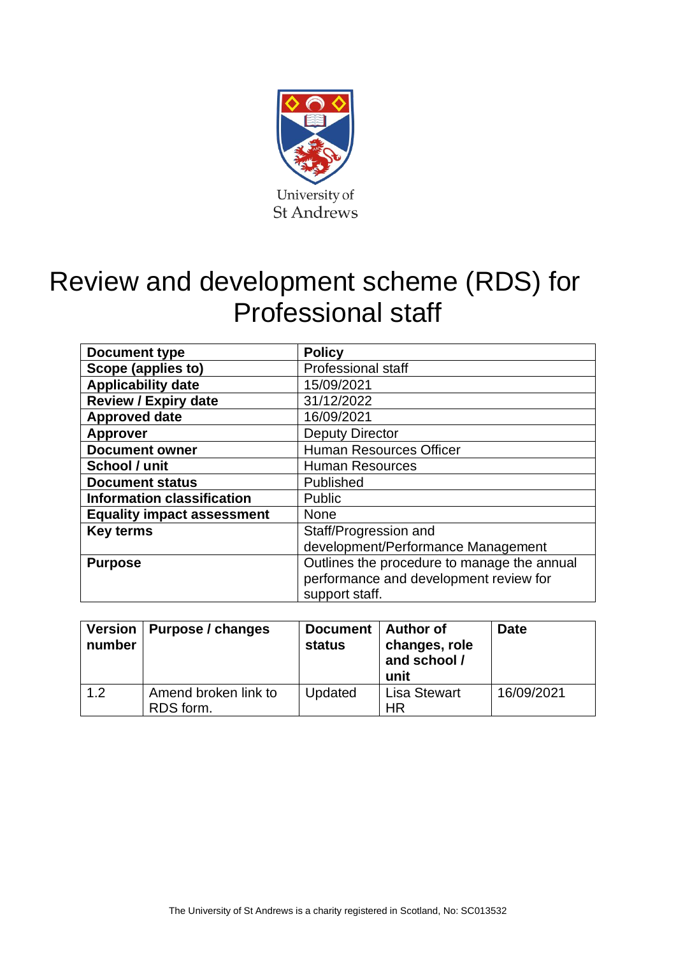

# Review and development scheme (RDS) for Professional staff

| Document type                     | <b>Policy</b>                               |
|-----------------------------------|---------------------------------------------|
| Scope (applies to)                | <b>Professional staff</b>                   |
| <b>Applicability date</b>         | 15/09/2021                                  |
| <b>Review / Expiry date</b>       | 31/12/2022                                  |
| <b>Approved date</b>              | 16/09/2021                                  |
| <b>Approver</b>                   | <b>Deputy Director</b>                      |
| <b>Document owner</b>             | <b>Human Resources Officer</b>              |
| School / unit                     | <b>Human Resources</b>                      |
| <b>Document status</b>            | Published                                   |
| <b>Information classification</b> | Public                                      |
| <b>Equality impact assessment</b> | None                                        |
| <b>Key terms</b>                  | Staff/Progression and                       |
|                                   | development/Performance Management          |
| <b>Purpose</b>                    | Outlines the procedure to manage the annual |
|                                   | performance and development review for      |
|                                   | support staff.                              |

| number | Version   Purpose / changes       | Document   Author of<br><b>status</b> | changes, role<br>and school /<br>unit | <b>Date</b> |
|--------|-----------------------------------|---------------------------------------|---------------------------------------|-------------|
| 1.2    | Amend broken link to<br>RDS form. | Updated                               | <b>Lisa Stewart</b><br>ΗR             | 16/09/2021  |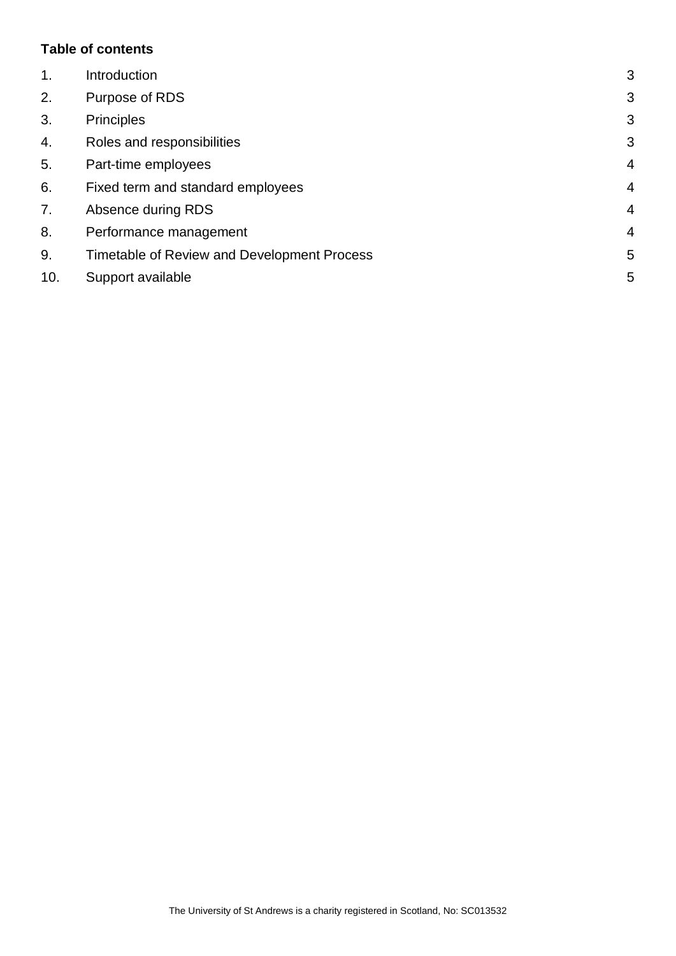#### **Table of contents**

| $\mathbf 1$ . | Introduction                                | 3              |
|---------------|---------------------------------------------|----------------|
| 2.            | Purpose of RDS                              | 3              |
| 3.            | <b>Principles</b>                           | 3              |
| 4.            | Roles and responsibilities                  | 3              |
| 5.            | Part-time employees                         | $\overline{4}$ |
| 6.            | Fixed term and standard employees           | $\overline{4}$ |
| 7.            | Absence during RDS                          | $\overline{4}$ |
| 8.            | Performance management                      | $\overline{4}$ |
| 9.            | Timetable of Review and Development Process | 5              |
| 10.           | Support available                           | 5              |
|               |                                             |                |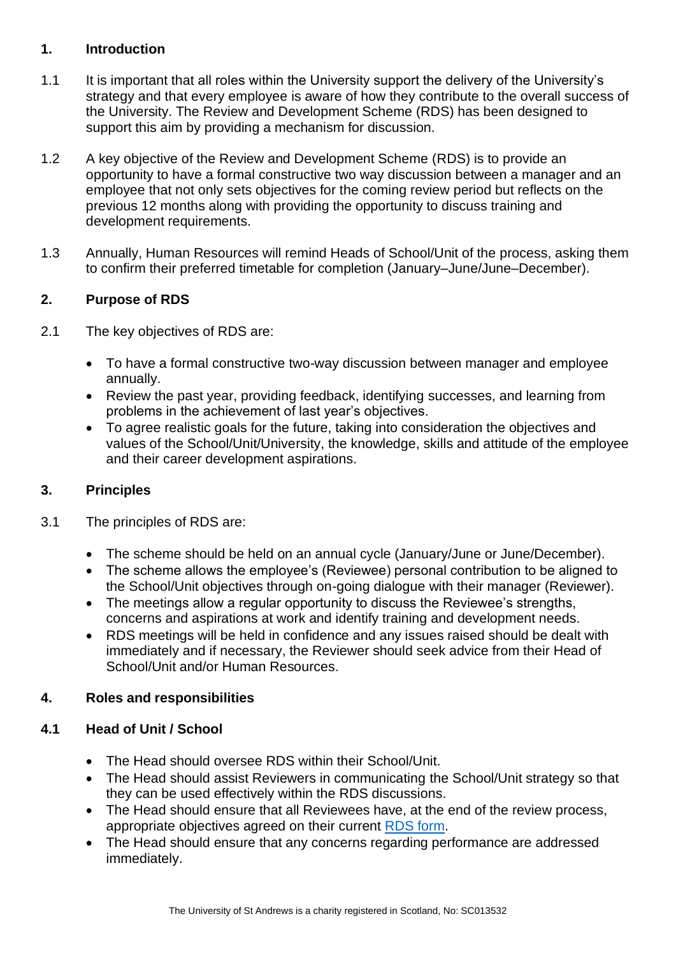#### <span id="page-2-0"></span>**1. Introduction**

- 1.1 It is important that all roles within the University support the delivery of the University's strategy and that every employee is aware of how they contribute to the overall success of the University. The Review and Development Scheme (RDS) has been designed to support this aim by providing a mechanism for discussion.
- 1.2 A key objective of the Review and Development Scheme (RDS) is to provide an opportunity to have a formal constructive two way discussion between a manager and an employee that not only sets objectives for the coming review period but reflects on the previous 12 months along with providing the opportunity to discuss training and development requirements.
- 1.3 Annually, Human Resources will remind Heads of School/Unit of the process, asking them to confirm their preferred timetable for completion (January–June/June–December).

# <span id="page-2-1"></span>**2. Purpose of RDS**

- 2.1 The key objectives of RDS are:
	- To have a formal constructive two-way discussion between manager and employee annually.
	- Review the past year, providing feedback, identifying successes, and learning from problems in the achievement of last year's objectives.
	- To agree realistic goals for the future, taking into consideration the objectives and values of the School/Unit/University, the knowledge, skills and attitude of the employee and their career development aspirations.

# <span id="page-2-2"></span>**3. Principles**

- 3.1 The principles of RDS are:
	- The scheme should be held on an annual cycle (January/June or June/December).
	- The scheme allows the employee's (Reviewee) personal contribution to be aligned to the School/Unit objectives through on-going dialogue with their manager (Reviewer).
	- The meetings allow a regular opportunity to discuss the Reviewee's strengths, concerns and aspirations at work and identify training and development needs.
	- RDS meetings will be held in confidence and any issues raised should be dealt with immediately and if necessary, the Reviewer should seek advice from their Head of School/Unit and/or Human Resources

# <span id="page-2-3"></span>**4. Roles and responsibilities**

# **4.1 Head of Unit / School**

- The Head should oversee RDS within their School/Unit.
- The Head should assist Reviewers in communicating the School/Unit strategy so that they can be used effectively within the RDS discussions.
- The Head should ensure that all Reviewees have, at the end of the review process, appropriate objectives agreed on their current [RDS form.](https://www.st-andrews.ac.uk/media/human-resources/new-policy-section-documents/reviewanddevelopment/RDS%20Form%20-%20for%20support%20staff-1.docx)
- The Head should ensure that any concerns regarding performance are addressed immediately.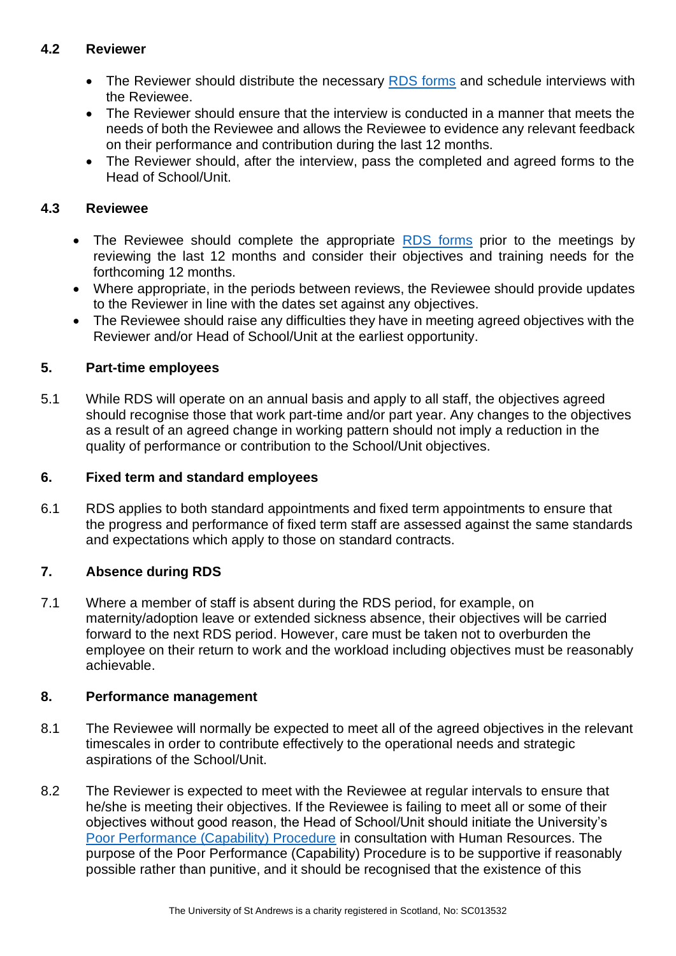# **4.2 Reviewer**

- The Reviewer should distribute the necessary [RDS forms](https://www.st-andrews.ac.uk/media/human-resources/new-policy-section-documents/reviewanddevelopment/RDS%20Form%20-%20for%20support%20staff-1.docx) and schedule interviews with the Reviewee.
- The Reviewer should ensure that the interview is conducted in a manner that meets the needs of both the Reviewee and allows the Reviewee to evidence any relevant feedback on their performance and contribution during the last 12 months.
- The Reviewer should, after the interview, pass the completed and agreed forms to the Head of School/Unit.

# **4.3 Reviewee**

- The Reviewee should complete the appropriate [RDS forms](https://www.st-andrews.ac.uk/media/human-resources/new-policy-section-documents/reviewanddevelopment/RDS%20Form%20-%20for%20support%20staff-1.docx) prior to the meetings by reviewing the last 12 months and consider their objectives and training needs for the forthcoming 12 months.
- Where appropriate, in the periods between reviews, the Reviewee should provide updates to the Reviewer in line with the dates set against any objectives.
- The Reviewee should raise any difficulties they have in meeting agreed objectives with the Reviewer and/or Head of School/Unit at the earliest opportunity.

# <span id="page-3-0"></span>**5. Part-time employees**

5.1 While RDS will operate on an annual basis and apply to all staff, the objectives agreed should recognise those that work part-time and/or part year. Any changes to the objectives as a result of an agreed change in working pattern should not imply a reduction in the quality of performance or contribution to the School/Unit objectives.

# <span id="page-3-1"></span>**6. Fixed term and standard employees**

6.1 RDS applies to both standard appointments and fixed term appointments to ensure that the progress and performance of fixed term staff are assessed against the same standards and expectations which apply to those on standard contracts.

# <span id="page-3-2"></span>**7. Absence during RDS**

7.1 Where a member of staff is absent during the RDS period, for example, on maternity/adoption leave or extended sickness absence, their objectives will be carried forward to the next RDS period. However, care must be taken not to overburden the employee on their return to work and the workload including objectives must be reasonably achievable.

# <span id="page-3-3"></span>**8. Performance management**

- 8.1 The Reviewee will normally be expected to meet all of the agreed objectives in the relevant timescales in order to contribute effectively to the operational needs and strategic aspirations of the School/Unit.
- 8.2 The Reviewer is expected to meet with the Reviewee at regular intervals to ensure that he/she is meeting their objectives. If the Reviewee is failing to meet all or some of their objectives without good reason, the Head of School/Unit should initiate the University's [Poor Performance \(Capability\) Procedure](https://www.st-andrews.ac.uk/staff/policy/hr/capabilitypoorperformanceprocedureforall/) in consultation with Human Resources. The purpose of the Poor Performance (Capability) Procedure is to be supportive if reasonably possible rather than punitive, and it should be recognised that the existence of this